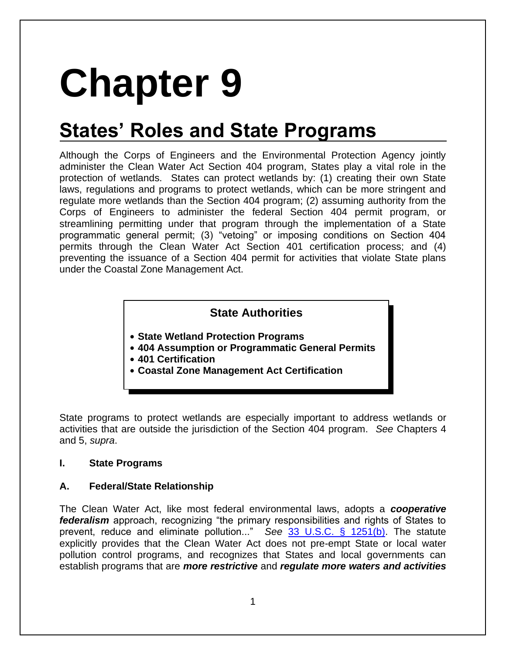# **Chapter 9**

# **States' Roles and State Programs**

Although the Corps of Engineers and the Environmental Protection Agency jointly administer the Clean Water Act Section 404 program, States play a vital role in the protection of wetlands. States can protect wetlands by: (1) creating their own State laws, regulations and programs to protect wetlands, which can be more stringent and regulate more wetlands than the Section 404 program; (2) assuming authority from the Corps of Engineers to administer the federal Section 404 permit program, or streamlining permitting under that program through the implementation of a State programmatic general permit; (3) "vetoing" or imposing conditions on Section 404 permits through the Clean Water Act Section 401 certification process; and (4) preventing the issuance of a Section 404 permit for activities that violate State plans under the Coastal Zone Management Act.

### **State Authorities**

- **State Wetland Protection Programs**
- **404 Assumption or Programmatic General Permits**
- **401 Certification**
- **Coastal Zone Management Act Certification**

State programs to protect wetlands are especially important to address wetlands or activities that are outside the jurisdiction of the Section 404 program. *See* Chapters 4 and 5, *supra*.

#### **I. State Programs**

#### **A. Federal/State Relationship**

The Clean Water Act, like most federal environmental laws, adopts a *cooperative federalism* approach, recognizing "the primary responsibilities and rights of States to prevent, reduce and eliminate pollution..." *See* [33 U.S.C. § 1251\(b\).](http://www.law.cornell.edu/uscode/text/33/1251) The statute explicitly provides that the Clean Water Act does not pre-empt State or local water pollution control programs, and recognizes that States and local governments can establish programs that are *more restrictive* and *regulate more waters and activities*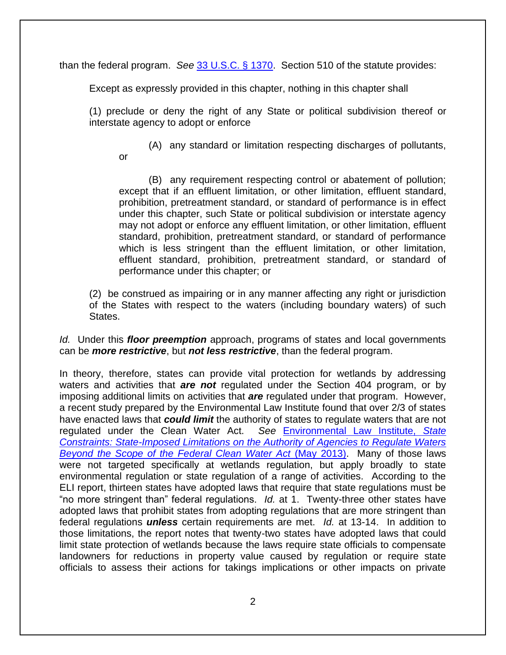than the federal program. *See* [33 U.S.C. § 1370.](http://www.law.cornell.edu/uscode/text/33/1370) Section 510 of the statute provides:

Except as expressly provided in this chapter, nothing in this chapter shall

(1) preclude or deny the right of any State or political subdivision thereof or interstate agency to adopt or enforce

(A) any standard or limitation respecting discharges of pollutants,

or

(B) any requirement respecting control or abatement of pollution; except that if an effluent limitation, or other limitation, effluent standard, prohibition, pretreatment standard, or standard of performance is in effect under this chapter, such State or political subdivision or interstate agency may not adopt or enforce any effluent limitation, or other limitation, effluent standard, prohibition, pretreatment standard, or standard of performance which is less stringent than the effluent limitation, or other limitation, effluent standard, prohibition, pretreatment standard, or standard of performance under this chapter; or

(2) be construed as impairing or in any manner affecting any right or jurisdiction of the States with respect to the waters (including boundary waters) of such States.

*Id.* Under this *floor preemption* approach, programs of states and local governments can be *more restrictive*, but *not less restrictive*, than the federal program.

In theory, therefore, states can provide vital protection for wetlands by addressing waters and activities that *are not* regulated under the Section 404 program, or by imposing additional limits on activities that *are* regulated under that program. However, a recent study prepared by the Environmental Law Institute found that over 2/3 of states have enacted laws that *could limit* the authority of states to regulate waters that are not regulated under the Clean Water Act. *See* [Environmental Law Institute,](http://www.eli.org/sites/default/files/eli-pubs/d23-04.pdf) *State [Constraints: State-Imposed Limitations on the Authority of Agencies to Regulate Waters](http://www.eli.org/sites/default/files/eli-pubs/d23-04.pdf)  [Beyond the Scope of the Federal Clean Water Act](http://www.eli.org/sites/default/files/eli-pubs/d23-04.pdf)* (May 2013). Many of those laws were not targeted specifically at wetlands regulation, but apply broadly to state environmental regulation or state regulation of a range of activities. According to the ELI report, thirteen states have adopted laws that require that state regulations must be "no more stringent than" federal regulations. *Id.* at 1. Twenty-three other states have adopted laws that prohibit states from adopting regulations that are more stringent than federal regulations *unless* certain requirements are met. *Id.* at 13-14. In addition to those limitations, the report notes that twenty-two states have adopted laws that could limit state protection of wetlands because the laws require state officials to compensate landowners for reductions in property value caused by regulation or require state officials to assess their actions for takings implications or other impacts on private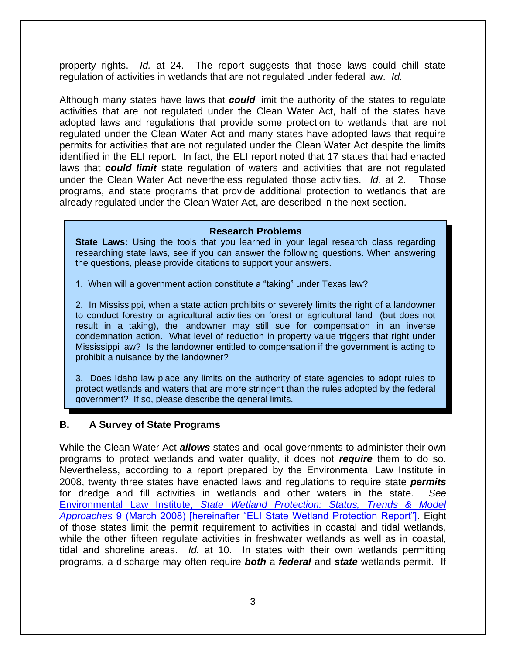property rights. *Id.* at 24. The report suggests that those laws could chill state regulation of activities in wetlands that are not regulated under federal law. *Id.*

Although many states have laws that *could* limit the authority of the states to regulate activities that are not regulated under the Clean Water Act, half of the states have adopted laws and regulations that provide some protection to wetlands that are not regulated under the Clean Water Act and many states have adopted laws that require permits for activities that are not regulated under the Clean Water Act despite the limits identified in the ELI report. In fact, the ELI report noted that 17 states that had enacted laws that *could limit* state regulation of waters and activities that are not regulated under the Clean Water Act nevertheless regulated those activities. *Id.* at 2. Those programs, and state programs that provide additional protection to wetlands that are already regulated under the Clean Water Act, are described in the next section.

#### **Research Problems**

**State Laws:** Using the tools that you learned in your legal research class regarding researching state laws, see if you can answer the following questions. When answering the questions, please provide citations to support your answers.

1. When will a government action constitute a "taking" under Texas law?

2. In Mississippi, when a state action prohibits or severely limits the right of a landowner to conduct forestry or agricultural activities on forest or agricultural land (but does not result in a taking), the landowner may still sue for compensation in an inverse condemnation action. What level of reduction in property value triggers that right under Mississippi law? Is the landowner entitled to compensation if the government is acting to prohibit a nuisance by the landowner?

3. Does Idaho law place any limits on the authority of state agencies to adopt rules to protect wetlands and waters that are more stringent than the rules adopted by the federal government? If so, please describe the general limits.

#### **B. A Survey of State Programs**

While the Clean Water Act *allows* states and local governments to administer their own programs to protect wetlands and water quality, it does not *require* them to do so. Nevertheless, according to a report prepared by the Environmental Law Institute in 2008, twenty three states have enacted laws and regulations to require state *permits* for dredge and fill activities in wetlands and other waters in the state. *See* Environmental Law Institute, *[State Wetland Protection: Status, Trends & Model](http://www.eli.org/sites/default/files/eli-pubs/d18__06.pdf)  Approaches* [9 \(March 2008\) \[hereinafter "ELI State Wetland Protection Report"\].](http://www.eli.org/sites/default/files/eli-pubs/d18__06.pdf) Eight of those states limit the permit requirement to activities in coastal and tidal wetlands, while the other fifteen regulate activities in freshwater wetlands as well as in coastal, tidal and shoreline areas. *Id.* at 10. In states with their own wetlands permitting programs, a discharge may often require *both* a *federal* and *state* wetlands permit. If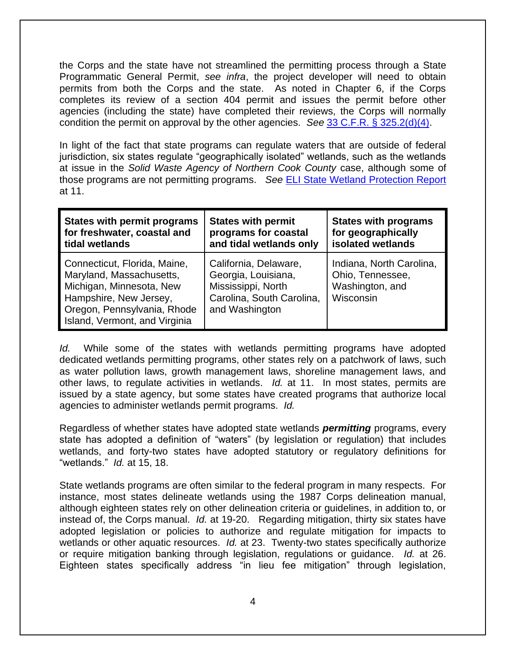the Corps and the state have not streamlined the permitting process through a State Programmatic General Permit, *see infra*, the project developer will need to obtain permits from both the Corps and the state. As noted in Chapter 6, if the Corps completes its review of a section 404 permit and issues the permit before other agencies (including the state) have completed their reviews, the Corps will normally condition the permit on approval by the other agencies. *See* [33 C.F.R. § 325.2\(d\)\(4\).](http://www.law.cornell.edu/cfr/text/33/325.2)

In light of the fact that state programs can regulate waters that are outside of federal jurisdiction, six states regulate "geographically isolated" wetlands, such as the wetlands at issue in the *Solid Waste Agency of Northern Cook County* case, although some of those programs are not permitting programs. *See* [ELI State Wetland Protection Report](http://www.eli.org/sites/default/files/eli-pubs/d18__06.pdf) at 11.

| <b>States with permit programs</b>                                                                                                                                             | <b>States with permit</b>                                                                                         | <b>States with programs</b>                                                  |
|--------------------------------------------------------------------------------------------------------------------------------------------------------------------------------|-------------------------------------------------------------------------------------------------------------------|------------------------------------------------------------------------------|
| for freshwater, coastal and                                                                                                                                                    | programs for coastal                                                                                              | for geographically                                                           |
| tidal wetlands                                                                                                                                                                 | and tidal wetlands only                                                                                           | isolated wetlands                                                            |
| Connecticut, Florida, Maine,<br>Maryland, Massachusetts,<br>Michigan, Minnesota, New<br>Hampshire, New Jersey,<br>Oregon, Pennsylvania, Rhode<br>Island, Vermont, and Virginia | California, Delaware,<br>Georgia, Louisiana,<br>Mississippi, North<br>Carolina, South Carolina,<br>and Washington | Indiana, North Carolina,<br>Ohio, Tennessee,<br>Washington, and<br>Wisconsin |

*Id.* While some of the states with wetlands permitting programs have adopted dedicated wetlands permitting programs, other states rely on a patchwork of laws, such as water pollution laws, growth management laws, shoreline management laws, and other laws, to regulate activities in wetlands. *Id.* at 11. In most states, permits are issued by a state agency, but some states have created programs that authorize local agencies to administer wetlands permit programs. *Id.*

Regardless of whether states have adopted state wetlands *permitting* programs, every state has adopted a definition of "waters" (by legislation or regulation) that includes wetlands, and forty-two states have adopted statutory or regulatory definitions for "wetlands." *Id.* at 15, 18.

State wetlands programs are often similar to the federal program in many respects. For instance, most states delineate wetlands using the 1987 Corps delineation manual, although eighteen states rely on other delineation criteria or guidelines, in addition to, or instead of, the Corps manual. *Id.* at 19-20. Regarding mitigation, thirty six states have adopted legislation or policies to authorize and regulate mitigation for impacts to wetlands or other aquatic resources. *Id.* at 23. Twenty-two states specifically authorize or require mitigation banking through legislation, regulations or guidance. *Id.* at 26. Eighteen states specifically address "in lieu fee mitigation" through legislation,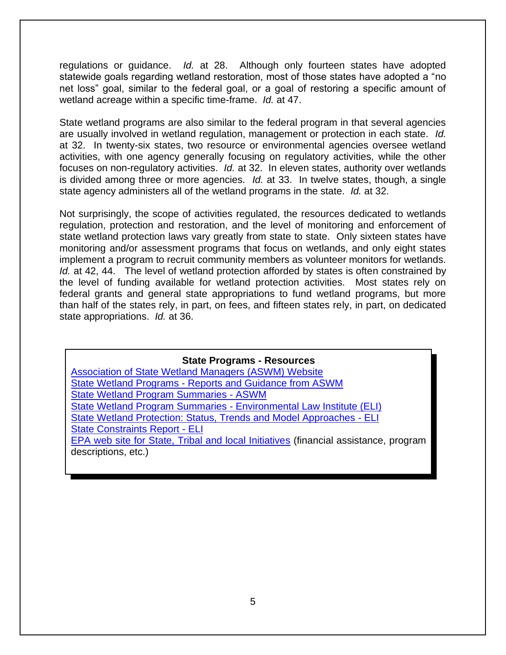regulations or guidance. *Id.* at 28. Although only fourteen states have adopted statewide goals regarding wetland restoration, most of those states have adopted a "no net loss" goal, similar to the federal goal, or a goal of restoring a specific amount of wetland acreage within a specific time-frame. *Id.* at 47.

State wetland programs are also similar to the federal program in that several agencies are usually involved in wetland regulation, management or protection in each state. *Id.* at 32. In twenty-six states, two resource or environmental agencies oversee wetland activities, with one agency generally focusing on regulatory activities, while the other focuses on non-regulatory activities. *Id.* at 32. In eleven states, authority over wetlands is divided among three or more agencies. *Id.* at 33. In twelve states, though, a single state agency administers all of the wetland programs in the state. *Id.* at 32.

Not surprisingly, the scope of activities regulated, the resources dedicated to wetlands regulation, protection and restoration, and the level of monitoring and enforcement of state wetland protection laws vary greatly from state to state. Only sixteen states have monitoring and/or assessment programs that focus on wetlands, and only eight states implement a program to recruit community members as volunteer monitors for wetlands. *Id.* at 42, 44. The level of wetland protection afforded by states is often constrained by the level of funding available for wetland protection activities. Most states rely on federal grants and general state appropriations to fund wetland programs, but more than half of the states rely, in part, on fees, and fifteen states rely, in part, on dedicated state appropriations. *Id.* at 36.

#### **State Programs - Resources**

| <b>Association of State Wetland Managers (ASWM) Website</b>                         |
|-------------------------------------------------------------------------------------|
| <b>State Wetland Programs - Reports and Guidance from ASWM</b>                      |
| <b>State Wetland Program Summaries - ASWM</b>                                       |
| State Wetland Program Summaries - Environmental Law Institute (ELI)                 |
| State Wetland Protection: Status, Trends and Model Approaches - ELI                 |
| <b>State Constraints Report - ELI</b>                                               |
| EPA web site for State, Tribal and local Initiatives (financial assistance, program |
| descriptions, etc.)                                                                 |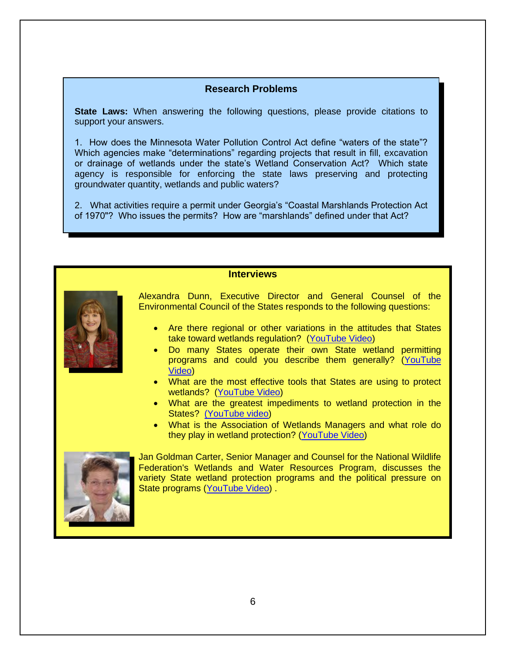#### **Research Problems**

**State Laws:** When answering the following questions, please provide citations to support your answers.

1. How does the Minnesota Water Pollution Control Act define "waters of the state"? Which agencies make "determinations" regarding projects that result in fill, excavation or drainage of wetlands under the state's Wetland Conservation Act? Which state agency is responsible for enforcing the state laws preserving and protecting groundwater quantity, wetlands and public waters?

2. What activities require a permit under Georgia's "Coastal Marshlands Protection Act of 1970"? Who issues the permits? How are "marshlands" defined under that Act?

#### **Interviews**



Alexandra Dunn, Executive Director and General Counsel of the Environmental Council of the States responds to the following questions:

- Are there regional or other variations in the attitudes that States take toward wetlands regulation? [\(YouTube Video\)](https://www.youtube.com/watch?v=gPYFTwKdBcI)
- Do many States operate their own State wetland permitting programs and could you describe them generally? [\(YouTube](https://www.youtube.com/watch?v=ArYWWfylv2s)  [Video\)](https://www.youtube.com/watch?v=ArYWWfylv2s)
- What are the most effective tools that States are using to protect wetlands? [\(YouTube Video\)](https://www.youtube.com/watch?v=LpVHaKX00Ws)
- What are the greatest impediments to wetland protection in the States? [\(YouTube video\)](https://www.youtube.com/watch?v=VlIIN-MyGUg)
- What is the Association of Wetlands Managers and what role do they play in wetland protection? [\(YouTube Video\)](https://www.youtube.com/watch?v=ptF5F6YuS5c)



Jan Goldman Carter, Senior Manager and Counsel for the National Wildlife Federation's Wetlands and Water Resources Program, discusses the variety State wetland protection programs and the political pressure on State programs [\(YouTube Video\)](https://www.youtube.com/watch?v=gXBCOTQDn5s) .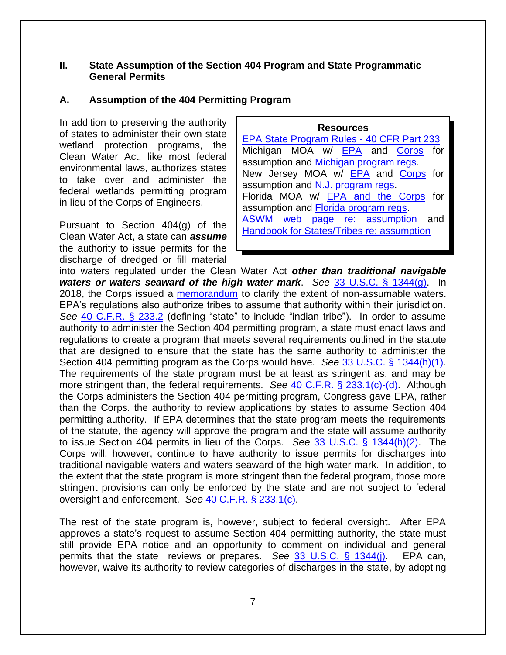#### **II. State Assumption of the Section 404 Program and State Programmatic General Permits**

#### **A. Assumption of the 404 Permitting Program**

In addition to preserving the authority of states to administer their own state wetland protection programs, the Clean Water Act, like most federal environmental laws, authorizes states to take over and administer the federal wetlands permitting program in lieu of the Corps of Engineers.

Pursuant to Section 404(g) of the Clean Water Act, a state can *assume* the authority to issue permits for the discharge of dredged or fill material

**Resources** [EPA State Program Rules -](https://www.law.cornell.edu/cfr/text/40/part%20233) 40 CFR Part 233 Michigan MOA w/ **[EPA](https://www.epa.gov/sites/default/files/2013-09/documents/mi-npdes-moa.pdf)** and **[Corps](https://www.envirolawteachers.com/michigan-moa.html)** for assumption and [Michigan program regs.](http://www.law.cornell.edu/cfr/text/40/233.70) New Jersey MOA w/ [EPA](https://www.envirolawteachers.com/nj-epa-moa.html) and [Corps](https://www.envirolawteachers.com/nj-corps-moa.html) for assumption and [N.J. program regs.](http://www.law.cornell.edu/cfr/text/40/233.71) Florida MOA w/ [EPA and the Corps](https://aswm.org/assumptiondocs/fl_epa_admin_moa.pdf) for assumption and [Florida program regs.](https://www.flrules.org/gateway/ChapterHome.asp?Chapter=62-331) [ASWM web page re: assumption](http://www.aswm.org/20-wetland-programs/s-404-assumption) and **[Handbook for States/Tribes re: assumption](http://www.aswm.org/pdf_lib/cwa_section_404_program_assumption.pdf)** 

into waters regulated under the Clean Water Act *other than traditional navigable waters or waters seaward of the high water mark*. *See* [33 U.S.C. § 1344\(g\).](http://www.law.cornell.edu/uscode/text/33/1344) In 2018, the Corps issued a [memorandum](https://api.army.mil/e2/c/downloads/525981.pdf) to clarify the extent of non-assumable waters. EPA's regulations also authorize tribes to assume that authority within their jurisdiction. *See* [40 C.F.R. § 233.2](http://www.law.cornell.edu/cfr/text/40/233.2) (defining "state" to include "indian tribe"). In order to assume authority to administer the Section 404 permitting program, a state must enact laws and regulations to create a program that meets several requirements outlined in the statute that are designed to ensure that the state has the same authority to administer the Section 404 permitting program as the Corps would have. *See* [33 U.S.C. § 1344\(h\)\(1\).](http://www.law.cornell.edu/uscode/text/33/1344) The requirements of the state program must be at least as stringent as, and may be more stringent than, the federal requirements. *See* [40 C.F.R. § 233.1\(c\)-\(d\).](http://www.law.cornell.edu/cfr/text/40/233.1) Although the Corps administers the Section 404 permitting program, Congress gave EPA, rather than the Corps. the authority to review applications by states to assume Section 404 permitting authority. If EPA determines that the state program meets the requirements of the statute, the agency will approve the program and the state will assume authority to issue Section 404 permits in lieu of the Corps. *See* [33 U.S.C. § 1344\(h\)\(2\).](http://www.law.cornell.edu/uscode/text/33/1344) The Corps will, however, continue to have authority to issue permits for discharges into traditional navigable waters and waters seaward of the high water mark. In addition, to the extent that the state program is more stringent than the federal program, those more stringent provisions can only be enforced by the state and are not subject to federal oversight and enforcement. *See* [40 C.F.R. § 233.1\(c\).](http://www.law.cornell.edu/cfr/text/40/233.1)

The rest of the state program is, however, subject to federal oversight. After EPA approves a state's request to assume Section 404 permitting authority, the state must still provide EPA notice and an opportunity to comment on individual and general permits that the state reviews or prepares. *See* [33 U.S.C. § 1344\(j\).](http://www.law.cornell.edu/uscode/text/33/1344) EPA can, however, waive its authority to review categories of discharges in the state, by adopting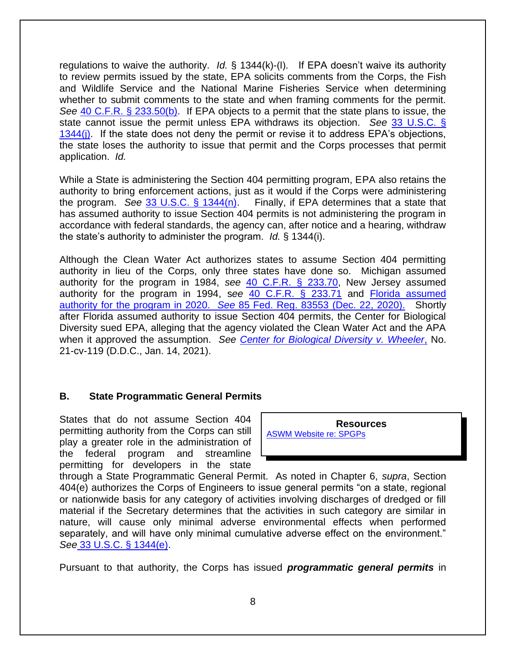regulations to waive the authority. *Id.* § 1344(k)-(l). If EPA doesn't waive its authority to review permits issued by the state, EPA solicits comments from the Corps, the Fish and Wildlife Service and the National Marine Fisheries Service when determining whether to submit comments to the state and when framing comments for the permit. *See* [40 C.F.R. § 233.50\(b\).](http://www.law.cornell.edu/cfr/text/40/233.50) If EPA objects to a permit that the state plans to issue, the state cannot issue the permit unless EPA withdraws its objection. *See* [33 U.S.C. §](http://www.law.cornell.edu/uscode/text/33/1344)  [1344\(j\).](http://www.law.cornell.edu/uscode/text/33/1344) If the state does not deny the permit or revise it to address EPA's objections, the state loses the authority to issue that permit and the Corps processes that permit application. *Id.*

While a State is administering the Section 404 permitting program, EPA also retains the authority to bring enforcement actions, just as it would if the Corps were administering the program. *See* [33 U.S.C. § 1344\(n\).](http://www.law.cornell.edu/uscode/text/33/1344) Finally, if EPA determines that a state that has assumed authority to issue Section 404 permits is not administering the program in accordance with federal standards, the agency can, after notice and a hearing, withdraw the state's authority to administer the program. *Id.* § 1344(i).

Although the Clean Water Act authorizes states to assume Section 404 permitting authority in lieu of the Corps, only three states have done so. Michigan assumed authority for the program in 1984, *see* [40 C.F.R. § 233.70,](http://www.law.cornell.edu/cfr/text/40/233.70) New Jersey assumed authority for the program in 1994, s*ee* [40 C.F.R. § 233.71](http://www.law.cornell.edu/cfr/text/40/233.71) and Florida assumed authority for the program in 2020. *See* [85 Fed. Reg. 83553](file:///C:/Users/johnson_s/Downloads/EPA-HQ-OW-2018-0640-0564_content.pdf) (Dec. 22, 2020). Shortly after Florida assumed authority to issue Section 404 permits, the Center for Biological Diversity sued EPA, alleging that the agency violated the Clean Water Act and the APA when it approved the assumption. *See [Center for Biological Diversity v. Wheeler](https://www.biologicaldiversity.org/programs/biodiversity/pdfs/Center_et_al_v_EPA_complaint_404_assumption.pdf)*, No. 21-cv-119 (D.D.C., Jan. 14, 2021).

#### **B. State Programmatic General Permits**

States that do not assume Section 404 permitting authority from the Corps can still play a greater role in the administration of the federal program and streamline permitting for developers in the state

**Resources** [ASWM Website re: SPGPs](https://www.aswm.org/wetland-programs/programmatic-general-permits/1031-pgp-resources-links-etc)

through a State Programmatic General Permit. As noted in Chapter 6, *supra*, Section 404(e) authorizes the Corps of Engineers to issue general permits "on a state, regional or nationwide basis for any category of activities involving discharges of dredged or fill material if the Secretary determines that the activities in such category are similar in nature, will cause only minimal adverse environmental effects when performed separately, and will have only minimal cumulative adverse effect on the environment." *See* [33 U.S.C. § 1344\(e\).](http://www.law.cornell.edu/uscode/text/33/1344)

Pursuant to that authority, the Corps has issued *programmatic general permits* in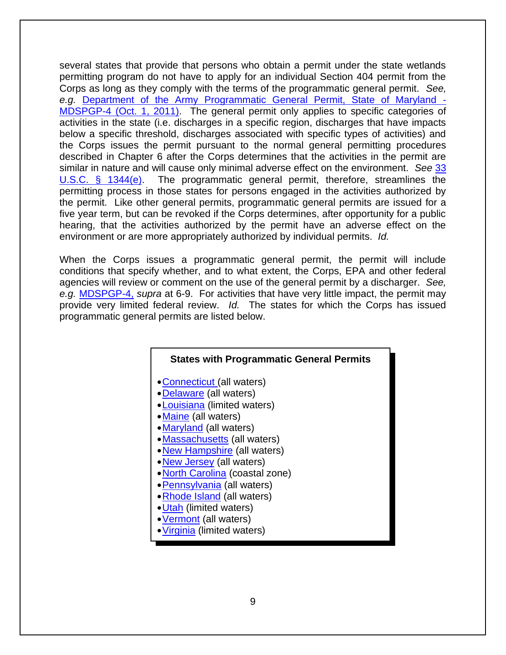several states that provide that persons who obtain a permit under the state wetlands permitting program do not have to apply for an individual Section 404 permit from the Corps as long as they comply with the terms of the programmatic general permit. *See, e.g.* [Department of the Army Programmatic General Permit, State of Maryland -](http://www.nab.usace.army.mil/Portals/63/docs/Regulatory/Permits/MDSPGP-4.pdf) [MDSPGP-4 \(Oct. 1, 2011\).](http://www.nab.usace.army.mil/Portals/63/docs/Regulatory/Permits/MDSPGP-4.pdf) The general permit only applies to specific categories of activities in the state (i.e. discharges in a specific region, discharges that have impacts below a specific threshold, discharges associated with specific types of activities) and the Corps issues the permit pursuant to the normal general permitting procedures described in Chapter 6 after the Corps determines that the activities in the permit are similar in nature and will cause only minimal adverse effect on the environment. *See* [33](http://www.law.cornell.edu/uscode/text/33/1344)  [U.S.C. § 1344\(e\).](http://www.law.cornell.edu/uscode/text/33/1344) The programmatic general permit, therefore, streamlines the permitting process in those states for persons engaged in the activities authorized by the permit. Like other general permits, programmatic general permits are issued for a five year term, but can be revoked if the Corps determines, after opportunity for a public hearing, that the activities authorized by the permit have an adverse effect on the environment or are more appropriately authorized by individual permits. *Id.* 

When the Corps issues a programmatic general permit, the permit will include conditions that specify whether, and to what extent, the Corps, EPA and other federal agencies will review or comment on the use of the general permit by a discharger. *See, e.g.* [MDSPGP-4,](http://www.nab.usace.army.mil/Portals/63/docs/Regulatory/Permits/MDSPGP-4.pdf) *supra* at 6-9. For activities that have very little impact, the permit may provide very limited federal review. *Id.* The states for which the Corps has issued programmatic general permits are listed below.

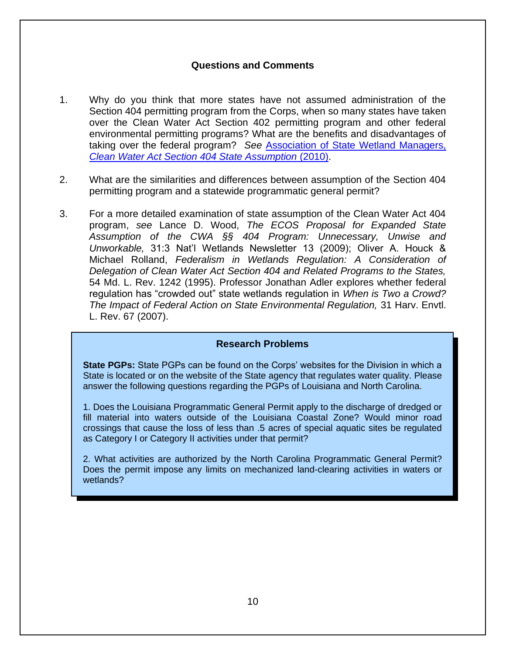#### **Questions and Comments**

- 1. Why do you think that more states have not assumed administration of the Section 404 permitting program from the Corps, when so many states have taken over the Clean Water Act Section 402 permitting program and other federal environmental permitting programs? What are the benefits and disadvantages of taking over the federal program? *See* [Association of State Wetland Managers,](http://aswm.org/pdf_lib/cwa_section_404_state_assumption_factsheets.pdf)  *[Clean Water Act Section 404 State Assumption](http://aswm.org/pdf_lib/cwa_section_404_state_assumption_factsheets.pdf)* (2010).
- 2. What are the similarities and differences between assumption of the Section 404 permitting program and a statewide programmatic general permit?
- 3. For a more detailed examination of state assumption of the Clean Water Act 404 program, *see* Lance D. Wood, *The ECOS Proposal for Expanded State Assumption of the CWA §§ 404 Program: Unnecessary, Unwise and Unworkable,* 31:3 Nat'l Wetlands Newsletter 13 (2009); Oliver A. Houck & Michael Rolland, *Federalism in Wetlands Regulation: A Consideration of Delegation of Clean Water Act Section 404 and Related Programs to the States,*  54 Md. L. Rev. 1242 (1995). Professor Jonathan Adler explores whether federal regulation has "crowded out" state wetlands regulation in *When is Two a Crowd? The Impact of Federal Action on State Environmental Regulation,* 31 Harv. Envtl. L. Rev. 67 (2007).

#### **Research Problems**

**State PGPs:** State PGPs can be found on the Corps' websites for the Division in which a State is located or on the website of the State agency that regulates water quality. Please answer the following questions regarding the PGPs of Louisiana and North Carolina.

1. Does the Louisiana Programmatic General Permit apply to the discharge of dredged or fill material into waters outside of the Louisiana Coastal Zone? Would minor road crossings that cause the loss of less than .5 acres of special aquatic sites be regulated as Category I or Category II activities under that permit?

2. What activities are authorized by the North Carolina Programmatic General Permit? Does the permit impose any limits on mechanized land-clearing activities in waters or wetlands?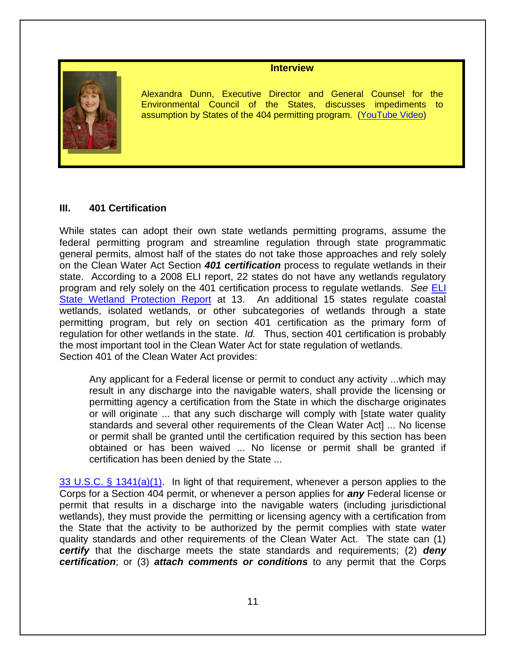#### **Interview**



Alexandra Dunn, Executive Director and General Counsel for the Environmental Council of the States, discusses impediments to assumption by States of the 404 permitting program. [\(YouTube Video\)](https://www.youtube.com/watch?v=B9h2y4gedcs)

#### **III. 401 Certification**

While states can adopt their own state wetlands permitting programs, assume the federal permitting program and streamline regulation through state programmatic general permits, almost half of the states do not take those approaches and rely solely on the Clean Water Act Section *401 certification* process to regulate wetlands in their state. According to a 2008 ELI report, 22 states do not have any wetlands regulatory program and rely solely on the 401 certification process to regulate wetlands. *See* [ELI](http://www.eli.org/sites/default/files/eli-pubs/d18__06.pdf)  [State Wetland Protection Report](http://www.eli.org/sites/default/files/eli-pubs/d18__06.pdf) at 13. An additional 15 states regulate coastal wetlands, isolated wetlands, or other subcategories of wetlands through a state permitting program, but rely on section 401 certification as the primary form of regulation for other wetlands in the state. *Id.* Thus, section 401 certification is probably the most important tool in the Clean Water Act for state regulation of wetlands. Section 401 of the Clean Water Act provides:

Any applicant for a Federal license or permit to conduct any activity ...which may result in any discharge into the navigable waters, shall provide the licensing or permitting agency a certification from the State in which the discharge originates or will originate ... that any such discharge will comply with [state water quality standards and several other requirements of the Clean Water Act] ... No license or permit shall be granted until the certification required by this section has been obtained or has been waived ... No license or permit shall be granted if certification has been denied by the State ...

[33 U.S.C. § 1341\(a\)\(1\).](http://www.law.cornell.edu/uscode/text/33/1341) In light of that requirement, whenever a person applies to the Corps for a Section 404 permit, or whenever a person applies for *any* Federal license or permit that results in a discharge into the navigable waters (including jurisdictional wetlands), they must provide the permitting or licensing agency with a certification from the State that the activity to be authorized by the permit complies with state water quality standards and other requirements of the Clean Water Act. The state can (1) *certify* that the discharge meets the state standards and requirements; (2) *deny certification*; or (3) *attach comments or conditions* to any permit that the Corps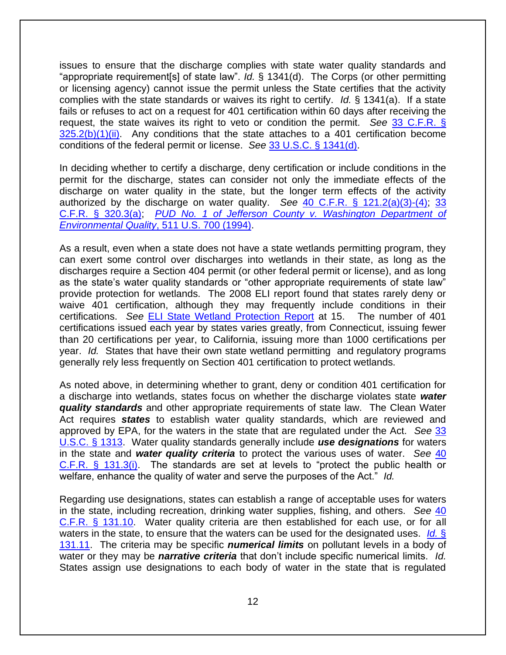issues to ensure that the discharge complies with state water quality standards and "appropriate requirement[s] of state law". *Id.* § 1341(d). The Corps (or other permitting or licensing agency) cannot issue the permit unless the State certifies that the activity complies with the state standards or waives its right to certify. *Id.* § 1341(a). If a state fails or refuses to act on a request for 401 certification within 60 days after receiving the request, the state waives its right to veto or condition the permit. *See* [33 C.F.R. §](http://www.law.cornell.edu/cfr/text/33/325.2)   $325.2(b)(1)(ii)$ . Any conditions that the state attaches to a 401 certification become conditions of the federal permit or license. *See* [33 U.S.C. § 1341\(d\).](http://www.law.cornell.edu/uscode/text/33/1341)

In deciding whether to certify a discharge, deny certification or include conditions in the permit for the discharge, states can consider not only the immediate effects of the discharge on water quality in the state, but the longer term effects of the activity authorized by the discharge on water quality. *See* [40 C.F.R. § 121.2\(a\)\(3\)-\(4\);](http://www.law.cornell.edu/cfr/text/40/121.2) [33](http://www.law.cornell.edu/cfr/text/33/320.3)  [C.F.R. § 320.3\(a\);](http://www.law.cornell.edu/cfr/text/33/320.3) *[PUD No. 1 of Jefferson County v. Washington Department of](http://supreme.justia.com/cases/federal/us/511/700/case.html)  [Environmental Quality](http://supreme.justia.com/cases/federal/us/511/700/case.html)*, 511 U.S. 700 (1994).

As a result, even when a state does not have a state wetlands permitting program, they can exert some control over discharges into wetlands in their state, as long as the discharges require a Section 404 permit (or other federal permit or license), and as long as the state's water quality standards or "other appropriate requirements of state law" provide protection for wetlands. The 2008 ELI report found that states rarely deny or waive 401 certification, although they may frequently include conditions in their certifications. *See* [ELI State Wetland Protection Report](http://www.eli.org/sites/default/files/eli-pubs/d18__06.pdf) at 15. The number of 401 certifications issued each year by states varies greatly, from Connecticut, issuing fewer than 20 certifications per year, to California, issuing more than 1000 certifications per year. *Id.* States that have their own state wetland permitting and regulatory programs generally rely less frequently on Section 401 certification to protect wetlands.

As noted above, in determining whether to grant, deny or condition 401 certification for a discharge into wetlands, states focus on whether the discharge violates state *water quality standards* and other appropriate requirements of state law. The Clean Water Act requires *states* to establish water quality standards, which are reviewed and approved by EPA, for the waters in the state that are regulated under the Act. *See* [33](http://www.law.cornell.edu/uscode/text/33/1313)  [U.S.C. § 1313.](http://www.law.cornell.edu/uscode/text/33/1313) Water quality standards generally include *use designations* for waters in the state and *water quality criteria* to protect the various uses of water. *See* [40](http://www.law.cornell.edu/cfr/text/40/131.3)  [C.F.R. § 131.3\(i\).](http://www.law.cornell.edu/cfr/text/40/131.3) The standards are set at levels to "protect the public health or welfare, enhance the quality of water and serve the purposes of the Act." *Id.*

Regarding use designations, states can establish a range of acceptable uses for waters in the state, including recreation, drinking water supplies, fishing, and others. *See* [40](http://www.law.cornell.edu/cfr/text/40/131.10)  [C.F.R. § 131.10.](http://www.law.cornell.edu/cfr/text/40/131.10) Water quality criteria are then established for each use, or for all waters in the state, to ensure that the waters can be used for the designated uses. *[Id.](http://www.law.cornell.edu/cfr/text/40/131.11)* § [131.11.](http://www.law.cornell.edu/cfr/text/40/131.11) The criteria may be specific *numerical limits* on pollutant levels in a body of water or they may be *narrative criteria* that don't include specific numerical limits. *Id.* States assign use designations to each body of water in the state that is regulated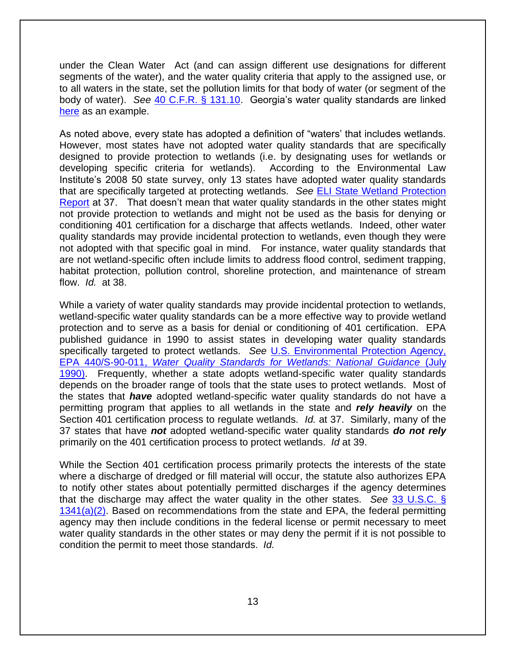under the Clean Water Act (and can assign different use designations for different segments of the water), and the water quality criteria that apply to the assigned use, or to all waters in the state, set the pollution limits for that body of water (or segment of the body of water). *See* 40 [C.F.R. § 131.10.](http://www.law.cornell.edu/cfr/text/40/131.10) Georgia's water quality standards are linked [here](http://rules.sos.state.ga.us/docs/391/3/6/03.pdf) as an example.

As noted above, every state has adopted a definition of "waters' that includes wetlands. However, most states have not adopted water quality standards that are specifically designed to provide protection to wetlands (i.e. by designating uses for wetlands or developing specific criteria for wetlands). According to the Environmental Law Institute's 2008 50 state survey, only 13 states have adopted water quality standards that are specifically targeted at protecting wetlands. *See* [ELI State Wetland Protection](http://www.eli.org/sites/default/files/eli-pubs/d18__06.pdf)  [Report](http://www.eli.org/sites/default/files/eli-pubs/d18__06.pdf) at 37. That doesn't mean that water quality standards in the other states might not provide protection to wetlands and might not be used as the basis for denying or conditioning 401 certification for a discharge that affects wetlands. Indeed, other water quality standards may provide incidental protection to wetlands, even though they were not adopted with that specific goal in mind. For instance, water quality standards that are not wetland-specific often include limits to address flood control, sediment trapping, habitat protection, pollution control, shoreline protection, and maintenance of stream flow. *Id.* at 38.

While a variety of water quality standards may provide incidental protection to wetlands, wetland-specific water quality standards can be a more effective way to provide wetland protection and to serve as a basis for denial or conditioning of 401 certification. EPA published guidance in 1990 to assist states in developing water quality standards specifically targeted to protect wetlands. *See* [U.S. Environmental Protection Agency,](https://web.archive.org/web/20150906001725/http:/water.epa.gov/lawsregs/guidance/wetlands/quality.cfm)  EPA 440/S-90-011, *[Water Quality Standards for Wetlands: National Guidance](https://web.archive.org/web/20150906001725/http:/water.epa.gov/lawsregs/guidance/wetlands/quality.cfm)* (July [1990\).](https://web.archive.org/web/20150906001725/http:/water.epa.gov/lawsregs/guidance/wetlands/quality.cfm) Frequently, whether a state adopts wetland-specific water quality standards depends on the broader range of tools that the state uses to protect wetlands. Most of the states that *have* adopted wetland-specific water quality standards do not have a permitting program that applies to all wetlands in the state and *rely heavily* on the Section 401 certification process to regulate wetlands. *Id.* at 37. Similarly, many of the 37 states that have *not* adopted wetland-specific water quality standards *do not rely*  primarily on the 401 certification process to protect wetlands. *Id* at 39.

While the Section 401 certification process primarily protects the interests of the state where a discharge of dredged or fill material will occur, the statute also authorizes EPA to notify other states about potentially permitted discharges if the agency determines that the discharge may affect the water quality in the other states. *See* [33 U.S.C. §](http://www.law.cornell.edu/uscode/text/33/1341)   $1341(a)(2)$ . Based on recommendations from the state and EPA, the federal permitting agency may then include conditions in the federal license or permit necessary to meet water quality standards in the other states or may deny the permit if it is not possible to condition the permit to meet those standards. *Id.*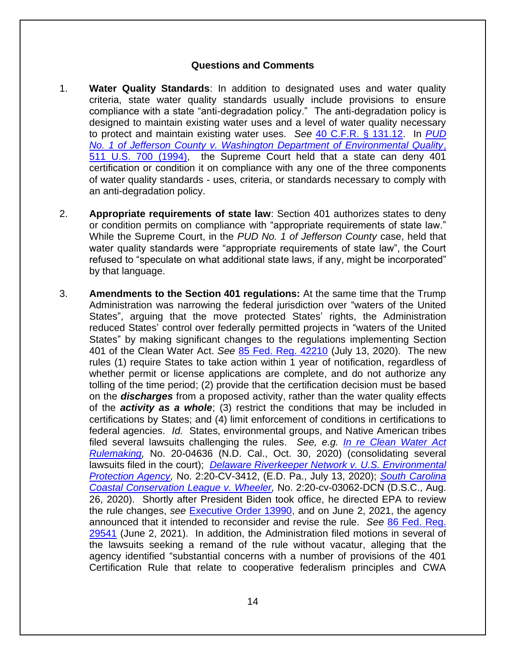#### **Questions and Comments**

- 1. **Water Quality Standards**: In addition to designated uses and water quality criteria, state water quality standards usually include provisions to ensure compliance with a state "anti-degradation policy." The anti-degradation policy is designed to maintain existing water uses and a level of water quality necessary to protect and maintain existing water uses. *See* [40 C.F.R. § 131.12.](http://www.law.cornell.edu/cfr/text/40/131.12) In *[PUD](http://supreme.justia.com/cases/federal/us/511/700/case.html)  [No. 1 of Jefferson County v. Washington Department of Environmental Quality](http://supreme.justia.com/cases/federal/us/511/700/case.html)*, [511 U.S. 700 \(1994\),](http://supreme.justia.com/cases/federal/us/511/700/case.html) the Supreme Court held that a state can deny 401 certification or condition it on compliance with any one of the three components of water quality standards - uses, criteria, or standards necessary to comply with an anti-degradation policy.
- 2. **Appropriate requirements of state law**: Section 401 authorizes states to deny or condition permits on compliance with "appropriate requirements of state law." While the Supreme Court, in the *PUD No. 1 of Jefferson County* case, held that water quality standards were "appropriate requirements of state law", the Court refused to "speculate on what additional state laws, if any, might be incorporated" by that language.
- 3. **Amendments to the Section 401 regulations:** At the same time that the Trump Administration was narrowing the federal jurisdiction over "waters of the United States", arguing that the move protected States' rights, the Administration reduced States' control over federally permitted projects in "waters of the United States" by making significant changes to the regulations implementing Section 401 of the Clean Water Act. *See* [85 Fed. Reg. 42210](https://www.epa.gov/sites/default/files/2020-07/documents/clean_water_act_section_401_certification_rule.pdf) (July 13, 2020). The new rules (1) require States to take action within 1 year of notification, regardless of whether permit or license applications are complete, and do not authorize any tolling of the time period; (2) provide that the certification decision must be based on the *discharges* from a proposed activity, rather than the water quality effects of the *activity as a whole*; (3) restrict the conditions that may be included in certifications by States; and (4) limit enforcement of conditions in certifications to federal agencies. *Id.* States, environmental groups, and Native American tribes filed several lawsuits challenging the rules. *See, e.g. [In re Clean Water Act](https://www.courtlistener.com/docket/17343532/american-rivers-v-wheeler/)  [Rulemaking,](https://www.courtlistener.com/docket/17343532/american-rivers-v-wheeler/)* No. 20-04636 (N.D. Cal., Oct. 30, 2020) (consolidating several lawsuits filed in the court); *[Delaware Riverkeeper Network v. U.S. Environmental](https://www.epa.gov/sites/default/files/2020-07/documents/cwa_401_rule_7_13_20_drk_complaint_e.d.pa_.pdf)  [Protection Agency,](https://www.epa.gov/sites/default/files/2020-07/documents/cwa_401_rule_7_13_20_drk_complaint_e.d.pa_.pdf)* No. 2:20-CV-3412, (E.D. Pa., July 13, 2020); *[South Carolina](https://storage.courtlistener.com/recap/gov.uscourts.scd.259325/gov.uscourts.scd.259325.1.0_2.pdf)  [Coastal Conservation League v. Wheeler,](https://storage.courtlistener.com/recap/gov.uscourts.scd.259325/gov.uscourts.scd.259325.1.0_2.pdf)* No. 2:20-cv-03062-DCN (D.S.C., Aug. 26, 2020). Shortly after President Biden took office, he directed EPA to review the rule changes, *see* [Executive Order 13990,](https://www.govinfo.gov/content/pkg/FR-2021-01-25/pdf/2021-01765.pdf) and on June 2, 2021, the agency announced that it intended to reconsider and revise the rule. *See* [86 Fed. Reg.](https://www.epa.gov/sites/default/files/2021-05/documents/10023-97-ow_401_noi_admin_pre-publication_version.pdf)  [29541](https://www.epa.gov/sites/default/files/2021-05/documents/10023-97-ow_401_noi_admin_pre-publication_version.pdf) (June 2, 2021). In addition, the Administration filed motions in several of the lawsuits seeking a remand of the rule without vacatur, alleging that the agency identified "substantial concerns with a number of provisions of the 401 Certification Rule that relate to cooperative federalism principles and CWA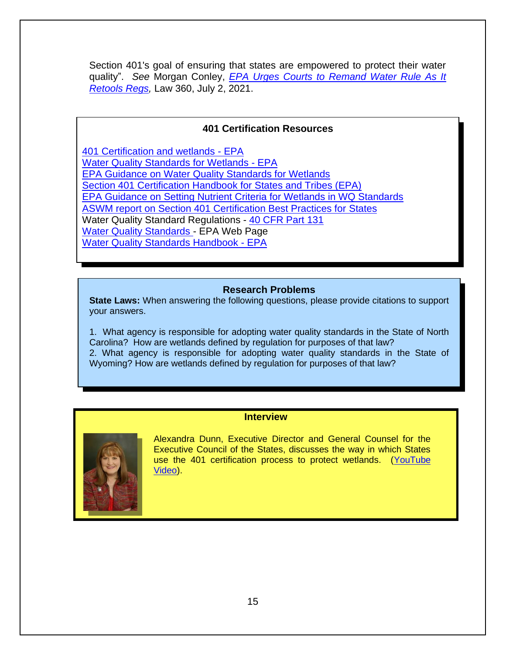Section 401's goal of ensuring that states are empowered to protect their water quality". *See* Morgan Conley, *[EPA Urges Courts to Remand Water Rule As It](https://www.law360.com/articles/1399803/epa-urges-courts-to-remand-water-rule-as-it-retools-regs)  [Retools Regs,](https://www.law360.com/articles/1399803/epa-urges-courts-to-remand-water-rule-as-it-retools-regs)* Law 360, July 2, 2021.

#### **401 Certification Resources**

[401 Certification and wetlands -](https://www.epa.gov/cwa-401/overview-cwa-section-401-certification) EPA [Water Quality Standards for Wetlands -](https://web.archive.org/web/20150909082506/http:/water.epa.gov/grants_funding/wetlands/quality.cfm) EPA [EPA Guidance on Water Quality Standards for Wetlands](https://www.epa.gov/cwa-404/national-guidance-water-quality-standards-wetlands)  [Section 401 Certification Handbook for States and Tribes \(EPA\)](https://19january2017snapshot.epa.gov/sites/production/files/2016-11/documents/cwa_401_handbook_2010.pdf) [EPA Guidance on Setting Nutrient Criteria for Wetlands in WQ Standards](http://www2.epa.gov/nutrient-policy-data/criteria-development-guidance-wetlands)  [ASWM report on Section 401 Certification Best Practices for States](http://www.aswm.org/pdf_lib/401_best_practices_summary.pdf) Water Quality Standard Regulations - [40 CFR Part 131](http://www.law.cornell.edu/cfr/text/40/part-131)  **[Water Quality Standards -](http://water.epa.gov/scitech/swguidance/standards/) EPA Web Page** [Water Quality Standards Handbook -](http://water.epa.gov/scitech/swguidance/standards/handbook/index.cfm) EPA

#### **Research Problems**

**State Laws:** When answering the following questions, please provide citations to support your answers.

1. What agency is responsible for adopting water quality standards in the State of North Carolina? How are wetlands defined by regulation for purposes of that law? 2. What agency is responsible for adopting water quality standards in the State of Wyoming? How are wetlands defined by regulation for purposes of that law?

#### **Interview**



Alexandra Dunn, Executive Director and General Counsel for the Executive Council of the States, discusses the way in which States use the 401 certification process to protect wetlands. [\(YouTube](https://www.youtube.com/watch?v=cSGhfBlCxu0)  [Video\)](https://www.youtube.com/watch?v=cSGhfBlCxu0).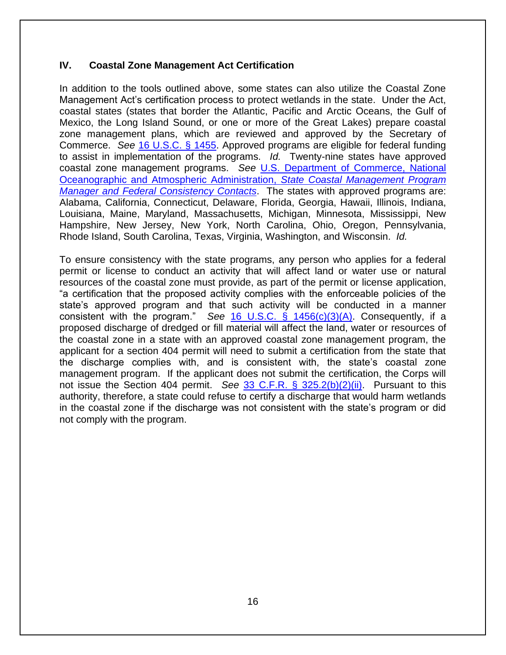#### **IV. Coastal Zone Management Act Certification**

In addition to the tools outlined above, some states can also utilize the Coastal Zone Management Act's certification process to protect wetlands in the state. Under the Act, coastal states (states that border the Atlantic, Pacific and Arctic Oceans, the Gulf of Mexico, the Long Island Sound, or one or more of the Great Lakes) prepare coastal zone management plans, which are reviewed and approved by the Secretary of Commerce. *See* [16 U.S.C. § 1455.](http://www.law.cornell.edu/uscode/text/16/1455) Approved programs are eligible for federal funding to assist in implementation of the programs. *Id.* Twenty-nine states have approved coastal zone management programs. *See* [U.S. Department of Commerce, National](https://coast.noaa.gov/czm/mystate/)  [Oceanographic and Atmospheric Administration,](https://coast.noaa.gov/czm/mystate/) *State Coastal Management Program [Manager and Federal Consistency Contacts](https://coast.noaa.gov/czm/mystate/)*. The states with approved programs are: Alabama, California, Connecticut, Delaware, Florida, Georgia, Hawaii, Illinois, Indiana, Louisiana, Maine, Maryland, Massachusetts, Michigan, Minnesota, Mississippi, New Hampshire, New Jersey, New York, North Carolina, Ohio, Oregon, Pennsylvania, Rhode Island, South Carolina, Texas, Virginia, Washington, and Wisconsin. *Id.*

To ensure consistency with the state programs, any person who applies for a federal permit or license to conduct an activity that will affect land or water use or natural resources of the coastal zone must provide, as part of the permit or license application, "a certification that the proposed activity complies with the enforceable policies of the state's approved program and that such activity will be conducted in a manner consistent with the program." *See* [16 U.S.C. § 1456\(c\)\(3\)\(A\).](http://www.law.cornell.edu/uscode/text/16/1456) Consequently, if a proposed discharge of dredged or fill material will affect the land, water or resources of the coastal zone in a state with an approved coastal zone management program, the applicant for a section 404 permit will need to submit a certification from the state that the discharge complies with, and is consistent with, the state's coastal zone management program. If the applicant does not submit the certification, the Corps will not issue the Section 404 permit. *See* [33 C.F.R. § 325.2\(b\)\(2\)\(ii\).](http://www.law.cornell.edu/cfr/text/33/325.2) Pursuant to this authority, therefore, a state could refuse to certify a discharge that would harm wetlands in the coastal zone if the discharge was not consistent with the state's program or did not comply with the program.